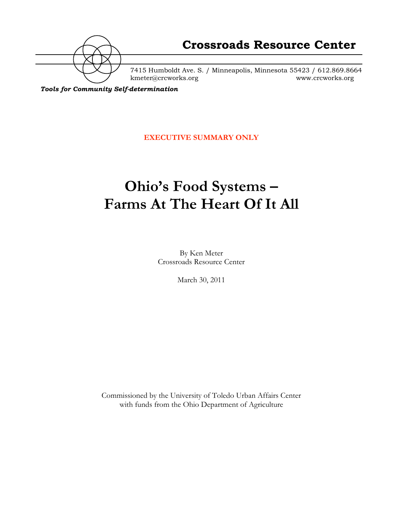

7415 Humboldt Ave. S. / Minneapolis, Minnesota 55423 / 612.869.8664 kmeter@crcworks.org www.crcworks.org

*Tools for Community Self-determination*

**EXECUTIVE SUMMARY ONLY**

# **Ohio's Food Systems – Farms At The Heart Of It All**

By Ken Meter Crossroads Resource Center

March 30, 2011

Commissioned by the University of Toledo Urban Affairs Center with funds from the Ohio Department of Agriculture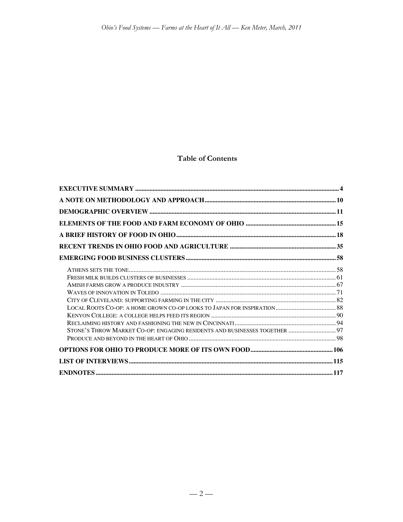# **Table of Contents**

| STONE'S THROW MARKET CO-OP: ENGAGING RESIDENTS AND BUSINESSES TOGETHER  97 |  |
|----------------------------------------------------------------------------|--|
|                                                                            |  |
|                                                                            |  |
|                                                                            |  |
|                                                                            |  |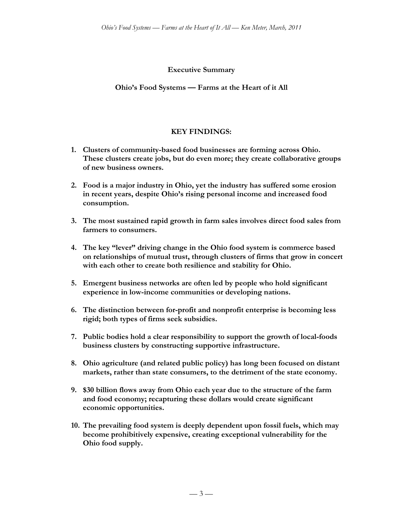#### **Executive Summary**

#### **Ohio's Food Systems — Farms at the Heart of it All**

### **KEY FINDINGS:**

- **1. Clusters of community-based food businesses are forming across Ohio. These clusters create jobs, but do even more; they create collaborative groups of new business owners.**
- **2. Food is a major industry in Ohio, yet the industry has suffered some erosion in recent years, despite Ohio's rising personal income and increased food consumption.**
- **3. The most sustained rapid growth in farm sales involves direct food sales from farmers to consumers.**
- **4. The key "lever" driving change in the Ohio food system is commerce based on relationships of mutual trust, through clusters of firms that grow in concert with each other to create both resilience and stability for Ohio.**
- **5. Emergent business networks are often led by people who hold significant experience in low-income communities or developing nations.**
- **6. The distinction between for-profit and nonprofit enterprise is becoming less rigid; both types of firms seek subsidies.**
- **7. Public bodies hold a clear responsibility to support the growth of local-foods business clusters by constructing supportive infrastructure.**
- **8. Ohio agriculture (and related public policy) has long been focused on distant markets, rather than state consumers, to the detriment of the state economy.**
- **9. \$30 billion flows away from Ohio each year due to the structure of the farm and food economy; recapturing these dollars would create significant economic opportunities.**
- **10. The prevailing food system is deeply dependent upon fossil fuels, which may become prohibitively expensive, creating exceptional vulnerability for the Ohio food supply.**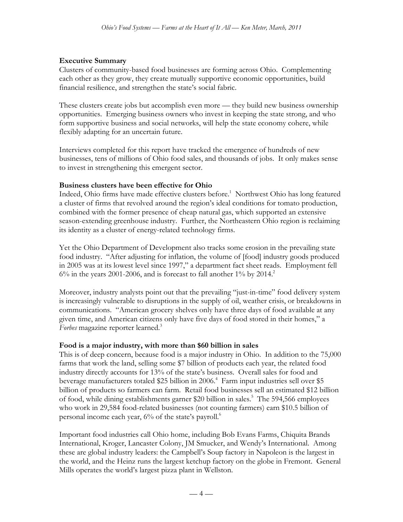### **Executive Summary**

Clusters of community-based food businesses are forming across Ohio. Complementing each other as they grow, they create mutually supportive economic opportunities, build financial resilience, and strengthen the state's social fabric.

These clusters create jobs but accomplish even more — they build new business ownership opportunities. Emerging business owners who invest in keeping the state strong, and who form supportive business and social networks, will help the state economy cohere, while flexibly adapting for an uncertain future.

Interviews completed for this report have tracked the emergence of hundreds of new businesses, tens of millions of Ohio food sales, and thousands of jobs. It only makes sense to invest in strengthening this emergent sector.

# **Business clusters have been effective for Ohio**

Indeed, Ohio firms have made effective clusters before.<sup>1</sup> Northwest Ohio has long featured a cluster of firms that revolved around the region's ideal conditions for tomato production, combined with the former presence of cheap natural gas, which supported an extensive season-extending greenhouse industry. Further, the Northeastern Ohio region is reclaiming its identity as a cluster of energy-related technology firms.

Yet the Ohio Department of Development also tracks some erosion in the prevailing state food industry. "After adjusting for inflation, the volume of [food] industry goods produced in 2005 was at its lowest level since 1997," a department fact sheet reads. Employment fell  $6\%$  in the years 2001-2006, and is forecast to fall another 1% by 2014.<sup>2</sup>

Moreover, industry analysts point out that the prevailing "just-in-time" food delivery system is increasingly vulnerable to disruptions in the supply of oil, weather crisis, or breakdowns in communications. "American grocery shelves only have three days of food available at any given time, and American citizens only have five days of food stored in their homes," a *Forbes* magazine reporter learned.<sup>3</sup>

### **Food is a major industry, with more than \$60 billion in sales**

This is of deep concern, because food is a major industry in Ohio. In addition to the 75,000 farms that work the land, selling some \$7 billion of products each year, the related food industry directly accounts for 13% of the state's business. Overall sales for food and beverage manufacturers totaled \$25 billion in 2006.<sup>4</sup> Farm input industries sell over \$5 billion of products so farmers can farm. Retail food businesses sell an estimated \$12 billion of food, while dining establishments garner \$20 billion in sales.<sup>5</sup> The 594,566 employees who work in 29,584 food-related businesses (not counting farmers) earn \$10.5 billion of personal income each year,  $6\%$  of the state's payroll.<sup>6</sup>

Important food industries call Ohio home, including Bob Evans Farms, Chiquita Brands International, Kroger, Lancaster Colony, JM Smucker, and Wendy's International. Among these are global industry leaders: the Campbell's Soup factory in Napoleon is the largest in the world, and the Heinz runs the largest ketchup factory on the globe in Fremont. General Mills operates the world's largest pizza plant in Wellston.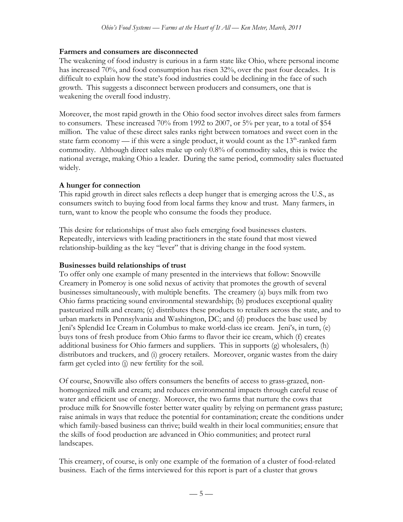#### **Farmers and consumers are disconnected**

The weakening of food industry is curious in a farm state like Ohio, where personal income has increased 70%, and food consumption has risen 32%, over the past four decades. It is difficult to explain how the state's food industries could be declining in the face of such growth. This suggests a disconnect between producers and consumers, one that is weakening the overall food industry.

Moreover, the most rapid growth in the Ohio food sector involves direct sales from farmers to consumers. These increased 70% from 1992 to 2007, or 5% per year, to a total of \$54 million. The value of these direct sales ranks right between tomatoes and sweet corn in the state farm economy — if this were a single product, it would count as the  $13<sup>th</sup>$ -ranked farm commodity. Although direct sales make up only 0.8% of commodity sales, this is twice the national average, making Ohio a leader. During the same period, commodity sales fluctuated widely.

### **A hunger for connection**

This rapid growth in direct sales reflects a deep hunger that is emerging across the U.S., as consumers switch to buying food from local farms they know and trust. Many farmers, in turn, want to know the people who consume the foods they produce.

This desire for relationships of trust also fuels emerging food businesses clusters. Repeatedly, interviews with leading practitioners in the state found that most viewed relationship-building as the key "lever" that is driving change in the food system.

### **Businesses build relationships of trust**

To offer only one example of many presented in the interviews that follow: Snowville Creamery in Pomeroy is one solid nexus of activity that promotes the growth of several businesses simultaneously, with multiple benefits. The creamery (a) buys milk from two Ohio farms practicing sound environmental stewardship; (b) produces exceptional quality pasteurized milk and cream; (c) distributes these products to retailers across the state, and to urban markets in Pennsylvania and Washington, DC; and (d) produces the base used by Jeni's Splendid Ice Cream in Columbus to make world-class ice cream. Jeni's, in turn, (e) buys tons of fresh produce from Ohio farms to flavor their ice cream, which (f) creates additional business for Ohio farmers and suppliers. This in supports (g) wholesalers, (h) distributors and truckers, and (i) grocery retailers. Moreover, organic wastes from the dairy farm get cycled into (j) new fertility for the soil.

Of course, Snowville also offers consumers the benefits of access to grass-grazed, nonhomogenized milk and cream; and reduces environmental impacts through careful reuse of water and efficient use of energy. Moreover, the two farms that nurture the cows that produce milk for Snowville foster better water quality by relying on permanent grass pasture; raise animals in ways that reduce the potential for contamination; create the conditions under which family-based business can thrive; build wealth in their local communities; ensure that the skills of food production are advanced in Ohio communities; and protect rural landscapes.

This creamery, of course, is only one example of the formation of a cluster of food-related business. Each of the firms interviewed for this report is part of a cluster that grows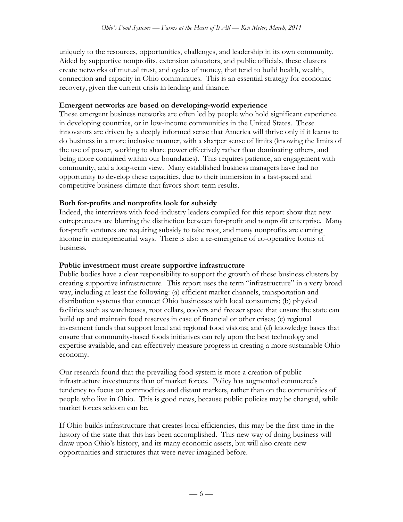uniquely to the resources, opportunities, challenges, and leadership in its own community. Aided by supportive nonprofits, extension educators, and public officials, these clusters create networks of mutual trust, and cycles of money, that tend to build health, wealth, connection and capacity in Ohio communities. This is an essential strategy for economic recovery, given the current crisis in lending and finance.

### **Emergent networks are based on developing-world experience**

These emergent business networks are often led by people who hold significant experience in developing countries, or in low-income communities in the United States. These innovators are driven by a deeply informed sense that America will thrive only if it learns to do business in a more inclusive manner, with a sharper sense of limits (knowing the limits of the use of power, working to share power effectively rather than dominating others, and being more contained within our boundaries). This requires patience, an engagement with community, and a long-term view. Many established business managers have had no opportunity to develop these capacities, due to their immersion in a fast-paced and competitive business climate that favors short-term results.

# **Both for-profits and nonprofits look for subsidy**

Indeed, the interviews with food-industry leaders compiled for this report show that new entrepreneurs are blurring the distinction between for-profit and nonprofit enterprise. Many for-profit ventures are requiring subsidy to take root, and many nonprofits are earning income in entrepreneurial ways. There is also a re-emergence of co-operative forms of business.

### **Public investment must create supportive infrastructure**

Public bodies have a clear responsibility to support the growth of these business clusters by creating supportive infrastructure. This report uses the term "infrastructure" in a very broad way, including at least the following: (a) efficient market channels, transportation and distribution systems that connect Ohio businesses with local consumers; (b) physical facilities such as warehouses, root cellars, coolers and freezer space that ensure the state can build up and maintain food reserves in case of financial or other crises; (c) regional investment funds that support local and regional food visions; and (d) knowledge bases that ensure that community-based foods initiatives can rely upon the best technology and expertise available, and can effectively measure progress in creating a more sustainable Ohio economy.

Our research found that the prevailing food system is more a creation of public infrastructure investments than of market forces. Policy has augmented commerce's tendency to focus on commodities and distant markets, rather than on the communities of people who live in Ohio. This is good news, because public policies may be changed, while market forces seldom can be.

If Ohio builds infrastructure that creates local efficiencies, this may be the first time in the history of the state that this has been accomplished. This new way of doing business will draw upon Ohio's history, and its many economic assets, but will also create new opportunities and structures that were never imagined before.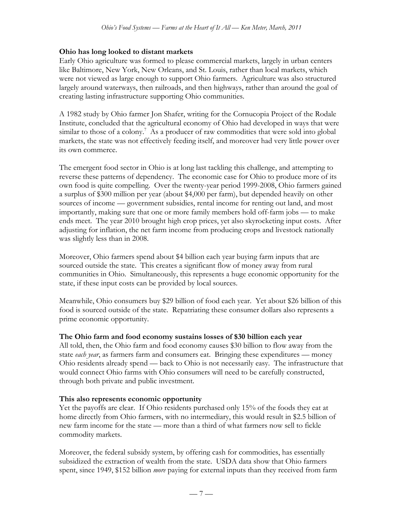#### **Ohio has long looked to distant markets**

Early Ohio agriculture was formed to please commercial markets, largely in urban centers like Baltimore, New York, New Orleans, and St. Louis, rather than local markets, which were not viewed as large enough to support Ohio farmers. Agriculture was also structured largely around waterways, then railroads, and then highways, rather than around the goal of creating lasting infrastructure supporting Ohio communities.

A 1982 study by Ohio farmer Jon Shafer, writing for the Cornucopia Project of the Rodale Institute, concluded that the agricultural economy of Ohio had developed in ways that were similar to those of a colony.<sup>7</sup> As a producer of raw commodities that were sold into global markets, the state was not effectively feeding itself, and moreover had very little power over its own commerce.

The emergent food sector in Ohio is at long last tackling this challenge, and attempting to reverse these patterns of dependency. The economic case for Ohio to produce more of its own food is quite compelling. Over the twenty-year period 1999-2008, Ohio farmers gained a surplus of \$300 million per year (about \$4,000 per farm), but depended heavily on other sources of income — government subsidies, rental income for renting out land, and most importantly, making sure that one or more family members hold off-farm jobs — to make ends meet. The year 2010 brought high crop prices, yet also skyrocketing input costs. After adjusting for inflation, the net farm income from producing crops and livestock nationally was slightly less than in 2008.

Moreover, Ohio farmers spend about \$4 billion each year buying farm inputs that are sourced outside the state. This creates a significant flow of money away from rural communities in Ohio. Simultaneously, this represents a huge economic opportunity for the state, if these input costs can be provided by local sources.

Meanwhile, Ohio consumers buy \$29 billion of food each year. Yet about \$26 billion of this food is sourced outside of the state. Repatriating these consumer dollars also represents a prime economic opportunity.

#### **The Ohio farm and food economy sustains losses of \$30 billion each year**

All told, then, the Ohio farm and food economy causes \$30 billion to flow away from the state *each year*, as farmers farm and consumers eat. Bringing these expenditures — money Ohio residents already spend — back to Ohio is not necessarily easy. The infrastructure that would connect Ohio farms with Ohio consumers will need to be carefully constructed, through both private and public investment.

#### **This also represents economic opportunity**

Yet the payoffs are clear. If Ohio residents purchased only 15% of the foods they eat at home directly from Ohio farmers, with no intermediary, this would result in \$2.5 billion of new farm income for the state — more than a third of what farmers now sell to fickle commodity markets.

Moreover, the federal subsidy system, by offering cash for commodities, has essentially subsidized the extraction of wealth from the state. USDA data show that Ohio farmers spent, since 1949, \$152 billion *more* paying for external inputs than they received from farm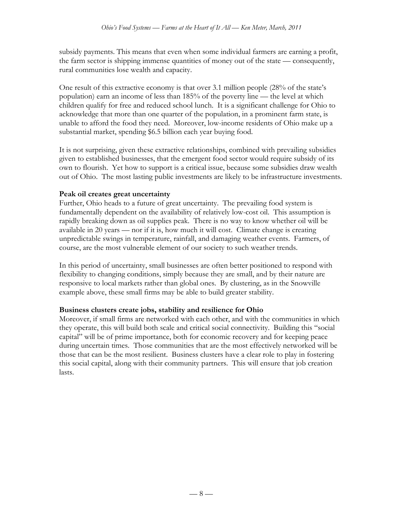subsidy payments. This means that even when some individual farmers are earning a profit, the farm sector is shipping immense quantities of money out of the state — consequently, rural communities lose wealth and capacity.

One result of this extractive economy is that over 3.1 million people (28% of the state's population) earn an income of less than 185% of the poverty line — the level at which children qualify for free and reduced school lunch. It is a significant challenge for Ohio to acknowledge that more than one quarter of the population, in a prominent farm state, is unable to afford the food they need. Moreover, low-income residents of Ohio make up a substantial market, spending \$6.5 billion each year buying food.

It is not surprising, given these extractive relationships, combined with prevailing subsidies given to established businesses, that the emergent food sector would require subsidy of its own to flourish. Yet how to support is a critical issue, because some subsidies draw wealth out of Ohio. The most lasting public investments are likely to be infrastructure investments.

### **Peak oil creates great uncertainty**

Further, Ohio heads to a future of great uncertainty. The prevailing food system is fundamentally dependent on the availability of relatively low-cost oil. This assumption is rapidly breaking down as oil supplies peak. There is no way to know whether oil will be available in 20 years — nor if it is, how much it will cost. Climate change is creating unpredictable swings in temperature, rainfall, and damaging weather events. Farmers, of course, are the most vulnerable element of our society to such weather trends.

In this period of uncertainty, small businesses are often better positioned to respond with flexibility to changing conditions, simply because they are small, and by their nature are responsive to local markets rather than global ones. By clustering, as in the Snowville example above, these small firms may be able to build greater stability.

### **Business clusters create jobs, stability and resilience for Ohio**

Moreover, if small firms are networked with each other, and with the communities in which they operate, this will build both scale and critical social connectivity. Building this "social capital" will be of prime importance, both for economic recovery and for keeping peace during uncertain times. Those communities that are the most effectively networked will be those that can be the most resilient. Business clusters have a clear role to play in fostering this social capital, along with their community partners. This will ensure that job creation lasts.